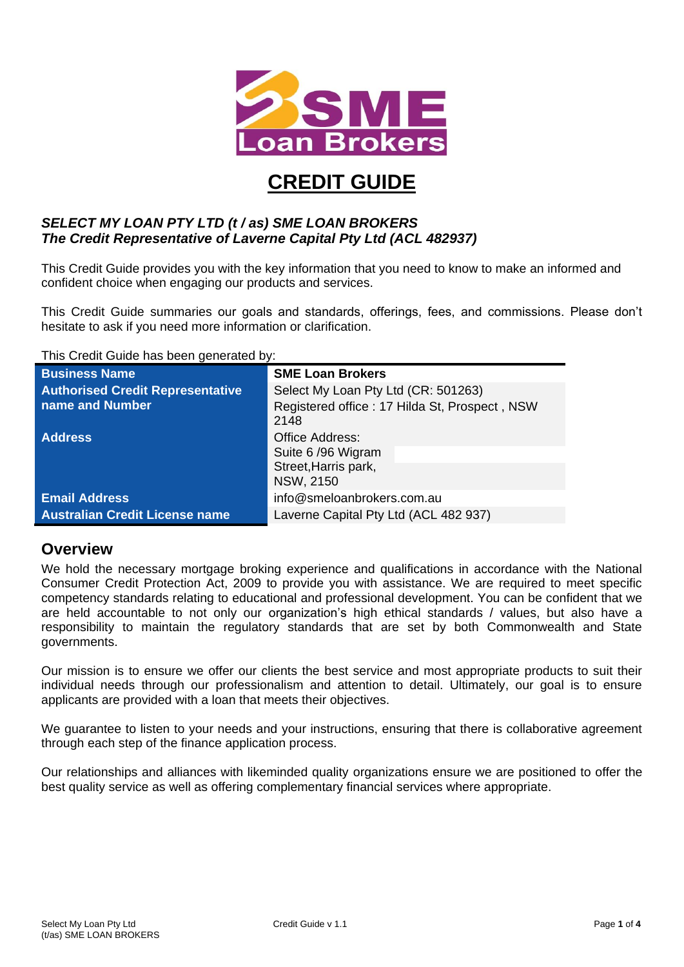

# **CREDIT GUIDE**

#### *SELECT MY LOAN PTY LTD (t / as) SME LOAN BROKERS The Credit Representative of Laverne Capital Pty Ltd (ACL 482937)*

This Credit Guide provides you with the key information that you need to know to make an informed and confident choice when engaging our products and services.

This Credit Guide summaries our goals and standards, offerings, fees, and commissions. Please don't hesitate to ask if you need more information or clarification.

This Credit Guide has been generated by:

| <b>Business Name</b>                                       | <b>SME Loan Brokers</b>                                                                      |
|------------------------------------------------------------|----------------------------------------------------------------------------------------------|
| <b>Authorised Credit Representative</b><br>name and Number | Select My Loan Pty Ltd (CR: 501263)<br>Registered office: 17 Hilda St, Prospect, NSW<br>2148 |
| <b>Address</b>                                             | <b>Office Address:</b><br>Suite 6/96 Wigram<br>Street, Harris park,<br><b>NSW, 2150</b>      |
| <b>Email Address</b>                                       | info@smeloanbrokers.com.au                                                                   |
| <b>Australian Credit License name</b>                      | Laverne Capital Pty Ltd (ACL 482 937)                                                        |

#### **Overview**

We hold the necessary mortgage broking experience and qualifications in accordance with the National Consumer Credit Protection Act, 2009 to provide you with assistance. We are required to meet specific competency standards relating to educational and professional development. You can be confident that we are held accountable to not only our organization's high ethical standards / values, but also have a responsibility to maintain the regulatory standards that are set by both Commonwealth and State governments.

Our mission is to ensure we offer our clients the best service and most appropriate products to suit their individual needs through our professionalism and attention to detail. Ultimately, our goal is to ensure applicants are provided with a loan that meets their objectives.

We guarantee to listen to your needs and your instructions, ensuring that there is collaborative agreement through each step of the finance application process.

Our relationships and alliances with likeminded quality organizations ensure we are positioned to offer the best quality service as well as offering complementary financial services where appropriate.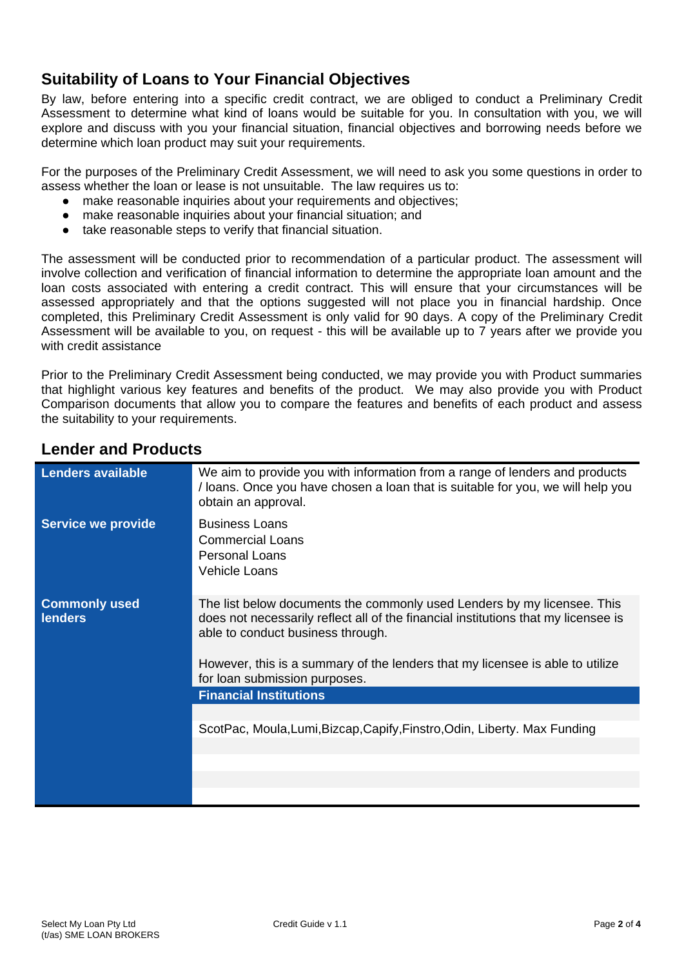## **Suitability of Loans to Your Financial Objectives**

By law, before entering into a specific credit contract, we are obliged to conduct a Preliminary Credit Assessment to determine what kind of loans would be suitable for you. In consultation with you, we will explore and discuss with you your financial situation, financial objectives and borrowing needs before we determine which loan product may suit your requirements.

For the purposes of the Preliminary Credit Assessment, we will need to ask you some questions in order to assess whether the loan or lease is not unsuitable. The law requires us to:

- make reasonable inquiries about your requirements and objectives;
- make reasonable inquiries about your financial situation; and
- take reasonable steps to verify that financial situation.

The assessment will be conducted prior to recommendation of a particular product. The assessment will involve collection and verification of financial information to determine the appropriate loan amount and the loan costs associated with entering a credit contract. This will ensure that your circumstances will be assessed appropriately and that the options suggested will not place you in financial hardship. Once completed, this Preliminary Credit Assessment is only valid for 90 days. A copy of the Preliminary Credit Assessment will be available to you, on request - this will be available up to 7 years after we provide you with credit assistance

Prior to the Preliminary Credit Assessment being conducted, we may provide you with Product summaries that highlight various key features and benefits of the product. We may also provide you with Product Comparison documents that allow you to compare the features and benefits of each product and assess the suitability to your requirements.

| <b>Lenders available</b>               | We aim to provide you with information from a range of lenders and products<br>/ loans. Once you have chosen a loan that is suitable for you, we will help you<br>obtain an approval.                                                                                                                                |
|----------------------------------------|----------------------------------------------------------------------------------------------------------------------------------------------------------------------------------------------------------------------------------------------------------------------------------------------------------------------|
| <b>Service we provide</b>              | <b>Business Loans</b><br><b>Commercial Loans</b><br><b>Personal Loans</b><br><b>Vehicle Loans</b>                                                                                                                                                                                                                    |
| <b>Commonly used</b><br><b>lenders</b> | The list below documents the commonly used Lenders by my licensee. This<br>does not necessarily reflect all of the financial institutions that my licensee is<br>able to conduct business through.<br>However, this is a summary of the lenders that my licensee is able to utilize<br>for loan submission purposes. |
|                                        | <b>Financial Institutions</b>                                                                                                                                                                                                                                                                                        |
|                                        | ScotPac, Moula, Lumi, Bizcap, Capify, Finstro, Odin, Liberty. Max Funding                                                                                                                                                                                                                                            |
|                                        |                                                                                                                                                                                                                                                                                                                      |
|                                        |                                                                                                                                                                                                                                                                                                                      |
|                                        |                                                                                                                                                                                                                                                                                                                      |

### **Lender and Products**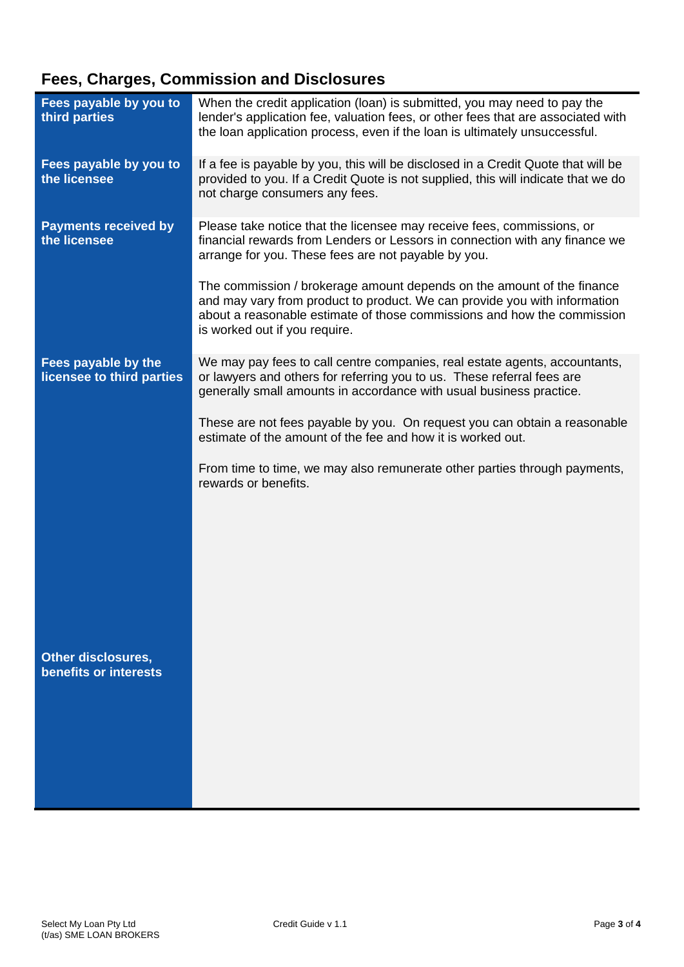# **Fees, Charges, Commission and Disclosures**

| Fees payable by you to<br>third parties          | When the credit application (loan) is submitted, you may need to pay the<br>lender's application fee, valuation fees, or other fees that are associated with<br>the loan application process, even if the loan is ultimately unsuccessful.                      |
|--------------------------------------------------|-----------------------------------------------------------------------------------------------------------------------------------------------------------------------------------------------------------------------------------------------------------------|
| Fees payable by you to<br>the licensee           | If a fee is payable by you, this will be disclosed in a Credit Quote that will be<br>provided to you. If a Credit Quote is not supplied, this will indicate that we do<br>not charge consumers any fees.                                                        |
| <b>Payments received by</b><br>the licensee      | Please take notice that the licensee may receive fees, commissions, or<br>financial rewards from Lenders or Lessors in connection with any finance we<br>arrange for you. These fees are not payable by you.                                                    |
|                                                  | The commission / brokerage amount depends on the amount of the finance<br>and may vary from product to product. We can provide you with information<br>about a reasonable estimate of those commissions and how the commission<br>is worked out if you require. |
| Fees payable by the<br>licensee to third parties | We may pay fees to call centre companies, real estate agents, accountants,<br>or lawyers and others for referring you to us. These referral fees are<br>generally small amounts in accordance with usual business practice.                                     |
|                                                  | These are not fees payable by you. On request you can obtain a reasonable<br>estimate of the amount of the fee and how it is worked out.                                                                                                                        |
|                                                  | From time to time, we may also remunerate other parties through payments,<br>rewards or benefits.                                                                                                                                                               |
|                                                  |                                                                                                                                                                                                                                                                 |
|                                                  |                                                                                                                                                                                                                                                                 |
| <b>Other disclosures,</b>                        |                                                                                                                                                                                                                                                                 |
| benefits or interests                            |                                                                                                                                                                                                                                                                 |
|                                                  |                                                                                                                                                                                                                                                                 |
|                                                  |                                                                                                                                                                                                                                                                 |